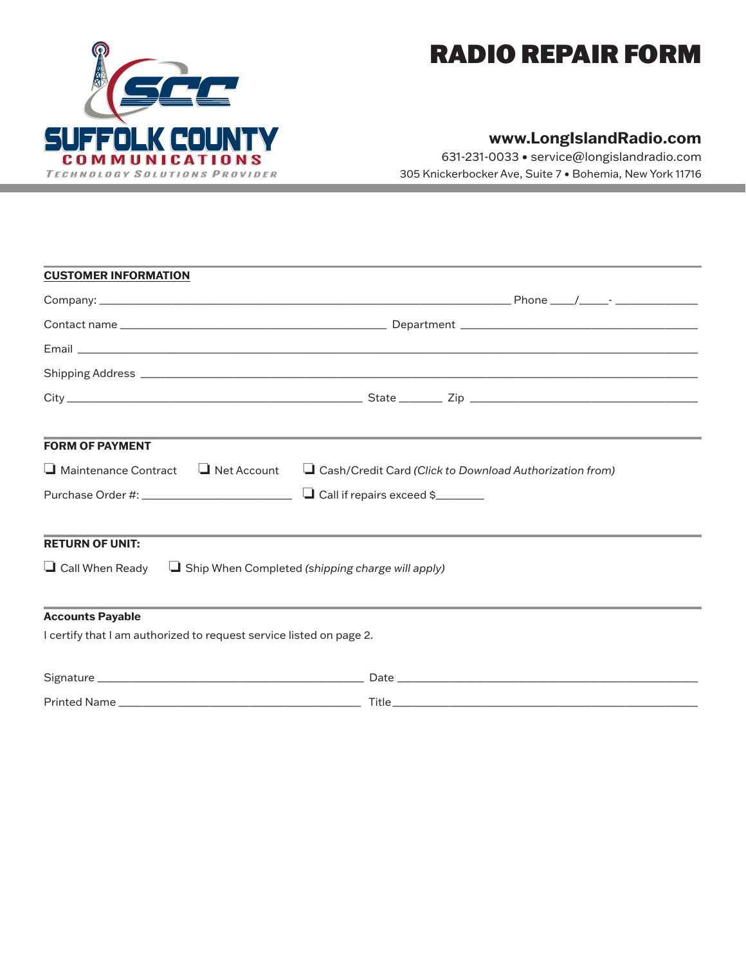

## RADIO REPAIR FORM

### **www.LongIslandRadio.com**

631-231-0033 • service@longislandradio.com 305 Knickerbocker Ave, Suite 7 • Bohemia, New York 11716

| <b>CUSTOMER INFORMATION</b>                                                    |                                                                                   |  |  |
|--------------------------------------------------------------------------------|-----------------------------------------------------------------------------------|--|--|
|                                                                                |                                                                                   |  |  |
|                                                                                |                                                                                   |  |  |
|                                                                                |                                                                                   |  |  |
|                                                                                |                                                                                   |  |  |
|                                                                                |                                                                                   |  |  |
| <b>FORM OF PAYMENT</b>                                                         | ,我们也不能会在这里,我们的人们就会在这里,我们的人们就会在这里,我们的人们就会在这里,我们的人们就会在这里,我们的人们就会在这里,我们的人们就会在这里,我们的  |  |  |
| $\Box$ Maintenance Contract $\Box$ Net Account                                 | Cash/Credit Card (Click to Download Authorization from)                           |  |  |
|                                                                                |                                                                                   |  |  |
| <b>RETURN OF UNIT:</b>                                                         | ,我们也不能在这里,我们也不能会在这里,我们也不能会在这里,我们也不能会在这里,我们也不能会在这里,我们也不能会在这里,我们也不能会在这里,我们也不能会不能会在这 |  |  |
| $\Box$ Call When Ready $\Box$ Ship When Completed (shipping charge will apply) |                                                                                   |  |  |
| <b>Accounts Payable</b>                                                        |                                                                                   |  |  |
| I certify that I am authorized to request service listed on page 2.            |                                                                                   |  |  |
|                                                                                |                                                                                   |  |  |
|                                                                                |                                                                                   |  |  |